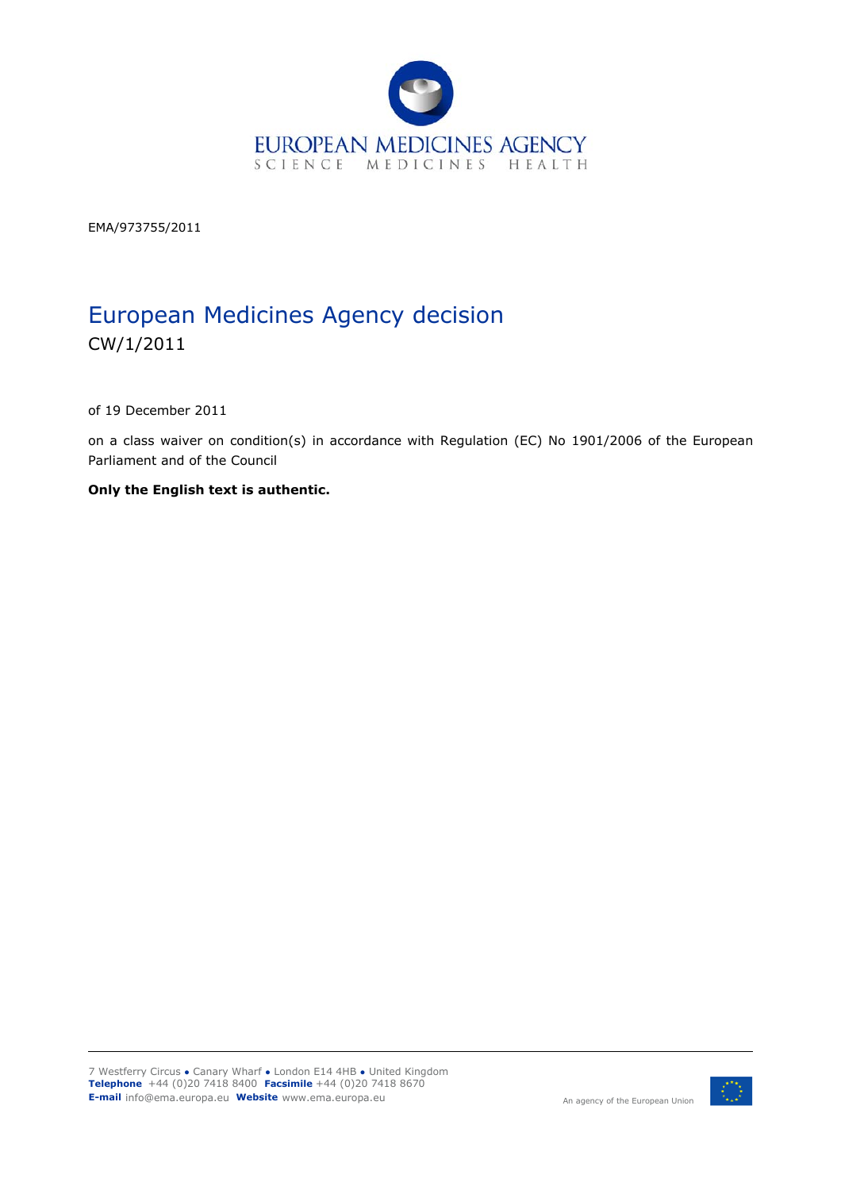

EMA/973755/2011

# European Medicines Agency decision CW/1/2011

of 19 December 2011

on a class waiver on condition(s) in accordance with Regulation (EC) No 1901/2006 of the European Parliament and of the Council

**Only the English text is authentic.** 

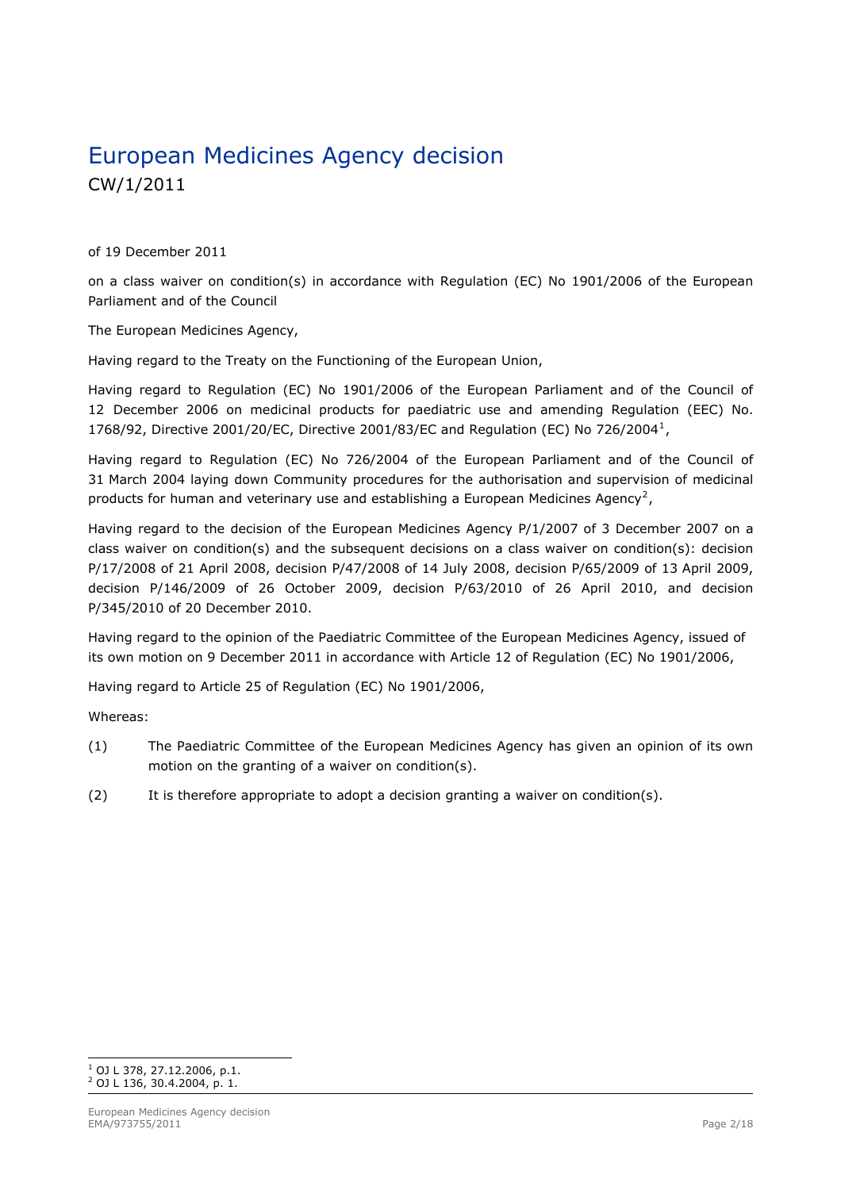# European Medicines Agency decision CW/1/2011

of 19 December 2011

on a class waiver on condition(s) in accordance with Regulation (EC) No 1901/2006 of the European Parliament and of the Council

The European Medicines Agency,

Having regard to the Treaty on the Functioning of the European Union,

Having regard to Regulation (EC) No 1901/2006 of the European Parliament and of the Council of 12 December 2006 on medicinal products for paediatric use and amending Regulation (EEC) No. 1768/92, Directive 2001/20/EC, Directive 2001/83/EC and Regulation (EC) No 726/2004[1](#page-1-0),

Having regard to Regulation (EC) No 726/2004 of the European Parliament and of the Council of 31 March 2004 laying down Community procedures for the authorisation and supervision of medicinal products for human and veterinary use and establishing a European Medicines Agency<sup>[2](#page-1-1)</sup>,

Having regard to the decision of the European Medicines Agency P/1/2007 of 3 December 2007 on a class waiver on condition(s) and the subsequent decisions on a class waiver on condition(s): decision P/17/2008 of 21 April 2008, decision P/47/2008 of 14 July 2008, decision P/65/2009 of 13 April 2009, decision P/146/2009 of 26 October 2009, decision P/63/2010 of 26 April 2010, and decision P/345/2010 of 20 December 2010.

Having regard to the opinion of the Paediatric Committee of the European Medicines Agency, issued of its own motion on 9 December 2011 in accordance with Article 12 of Regulation (EC) No 1901/2006,

Having regard to Article 25 of Regulation (EC) No 1901/2006,

Whereas:

- (1) The Paediatric Committee of the European Medicines Agency has given an opinion of its own motion on the granting of a waiver on condition(s).
- (2) It is therefore appropriate to adopt a decision granting a waiver on condition(s).

<span id="page-1-1"></span><span id="page-1-0"></span> 1 OJ L 378, 27.12.2006, p.1. <sup>2</sup> OJ L 136, 30.4.2004, p. 1.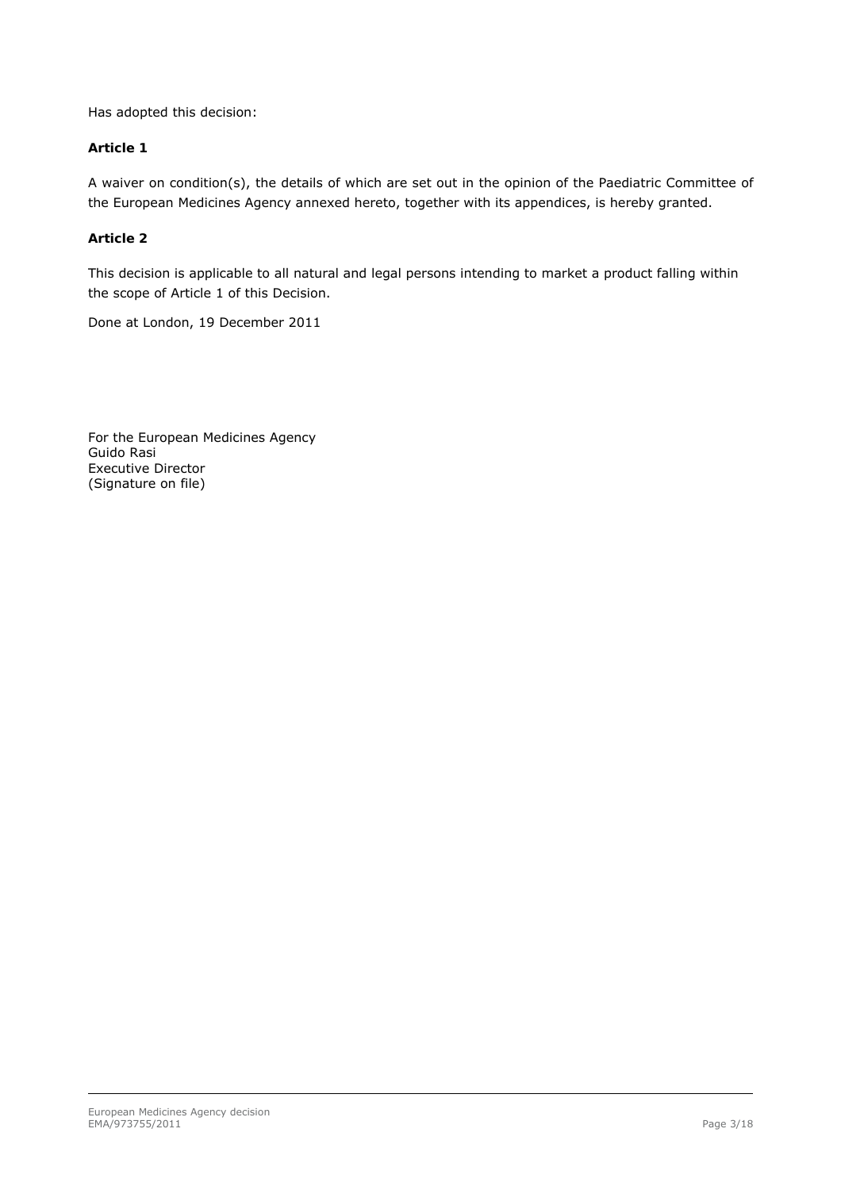Has adopted this decision:

## *Article 1*

A waiver on condition(s), the details of which are set out in the opinion of the Paediatric Committee of the European Medicines Agency annexed hereto, together with its appendices, is hereby granted.

## *Article 2*

This decision is applicable to all natural and legal persons intending to market a product falling within the scope of Article 1 of this Decision.

Done at London, 19 December 2011

For the European Medicines Agency Guido Rasi Executive Director (Signature on file)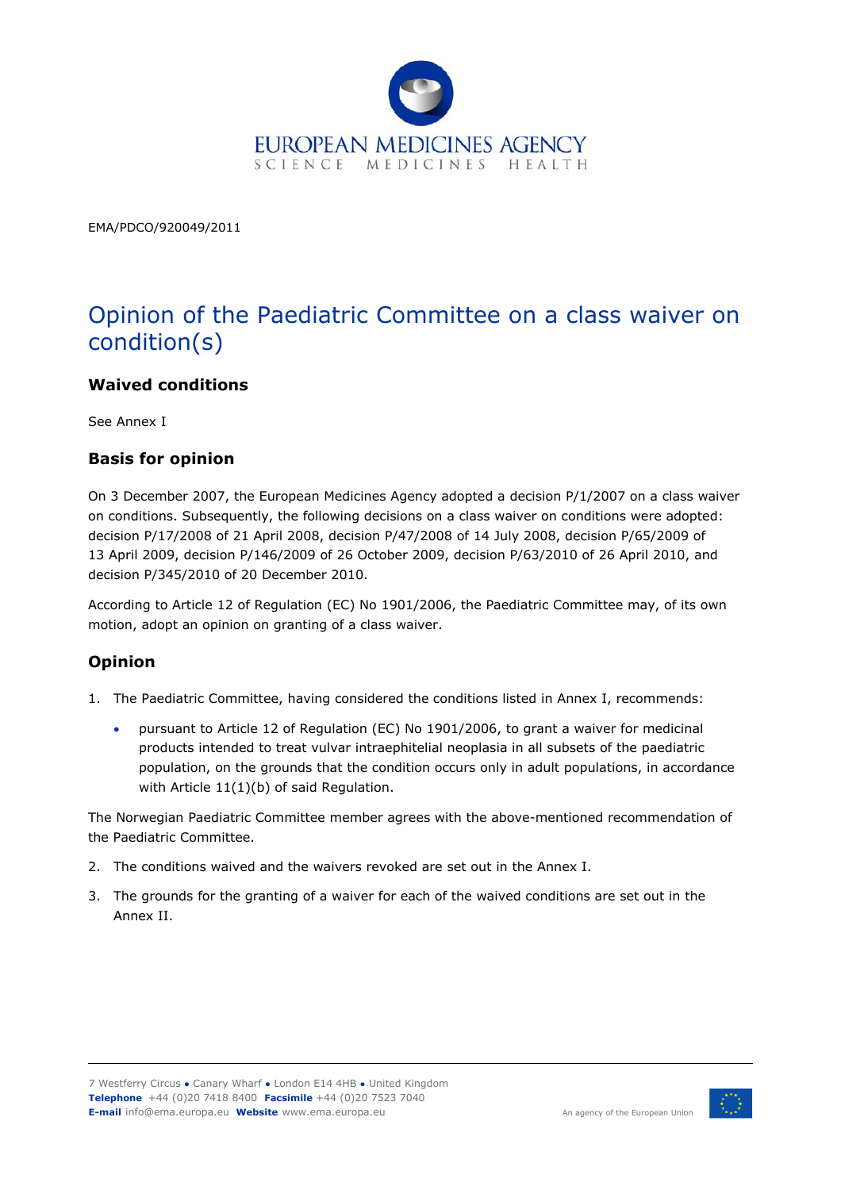

EMA/PDCO/920049/2011

# Opinion of the Paediatric Committee on a class waiver on condition(s)

## **Waived conditions**

See Annex I

## **Basis for opinion**

On 3 December 2007, the European Medicines Agency adopted a decision P/1/2007 on a class waiver on conditions. Subsequently, the following decisions on a class waiver on conditions were adopted: decision P/17/2008 of 21 April 2008, decision P/47/2008 of 14 July 2008, decision P/65/2009 of 13 April 2009, decision P/146/2009 of 26 October 2009, decision P/63/2010 of 26 April 2010, and decision P/345/2010 of 20 December 2010.

According to Article 12 of Regulation (EC) No 1901/2006, the Paediatric Committee may, of its own motion, adopt an opinion on granting of a class waiver.

## **Opinion**

- 1. The Paediatric Committee, having considered the conditions listed in Annex I, recommends:
	- pursuant to Article 12 of Regulation (EC) No 1901/2006, to grant a waiver for medicinal products intended to treat vulvar intraephitelial neoplasia in all subsets of the paediatric population, on the grounds that the condition occurs only in adult populations, in accordance with Article 11(1)(b) of said Regulation.

The Norwegian Paediatric Committee member agrees with the above-mentioned recommendation of the Paediatric Committee.

- 2. The conditions waived and the waivers revoked are set out in the Annex I.
- 3. The grounds for the granting of a waiver for each of the waived conditions are set out in the Annex II.



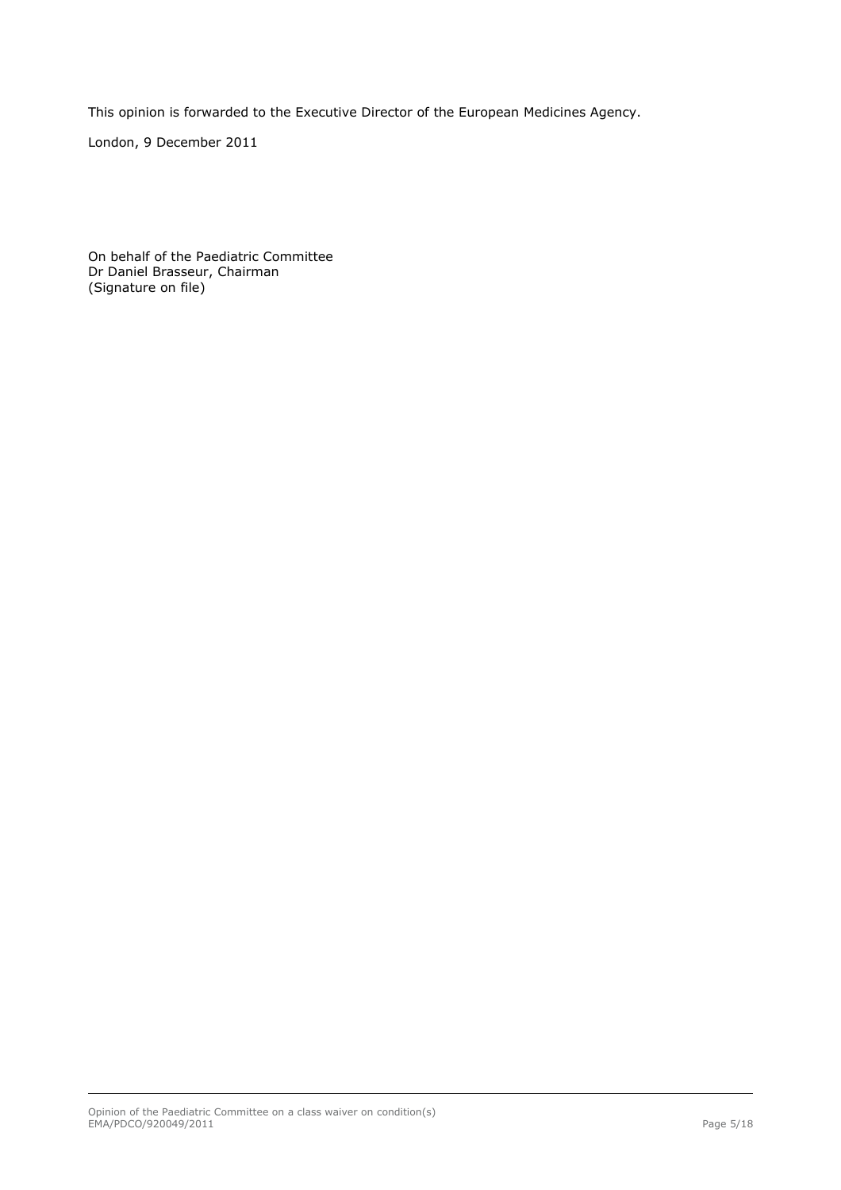This opinion is forwarded to the Executive Director of the European Medicines Agency.

London, 9 December 2011

On behalf of the Paediatric Committee Dr Daniel Brasseur, Chairman (Signature on file)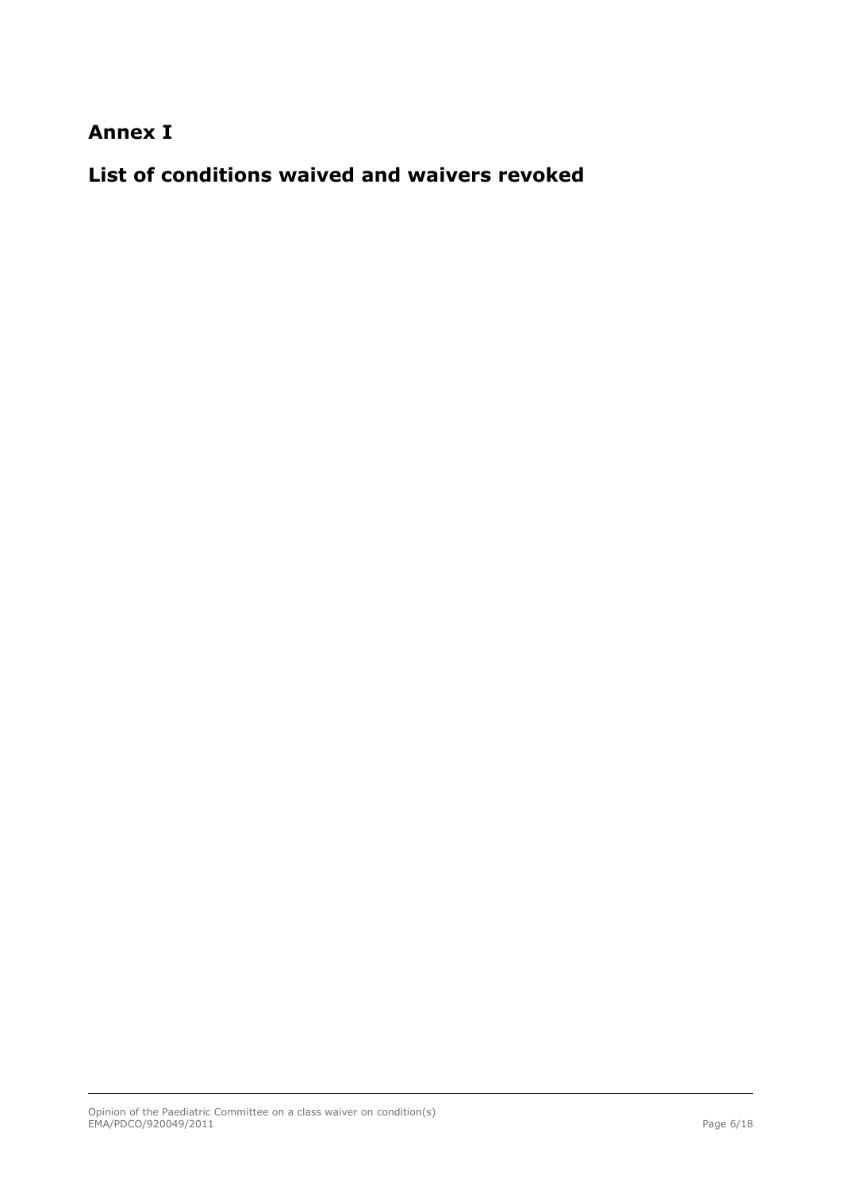## **Annex I**

**List of conditions waived and waivers revoked**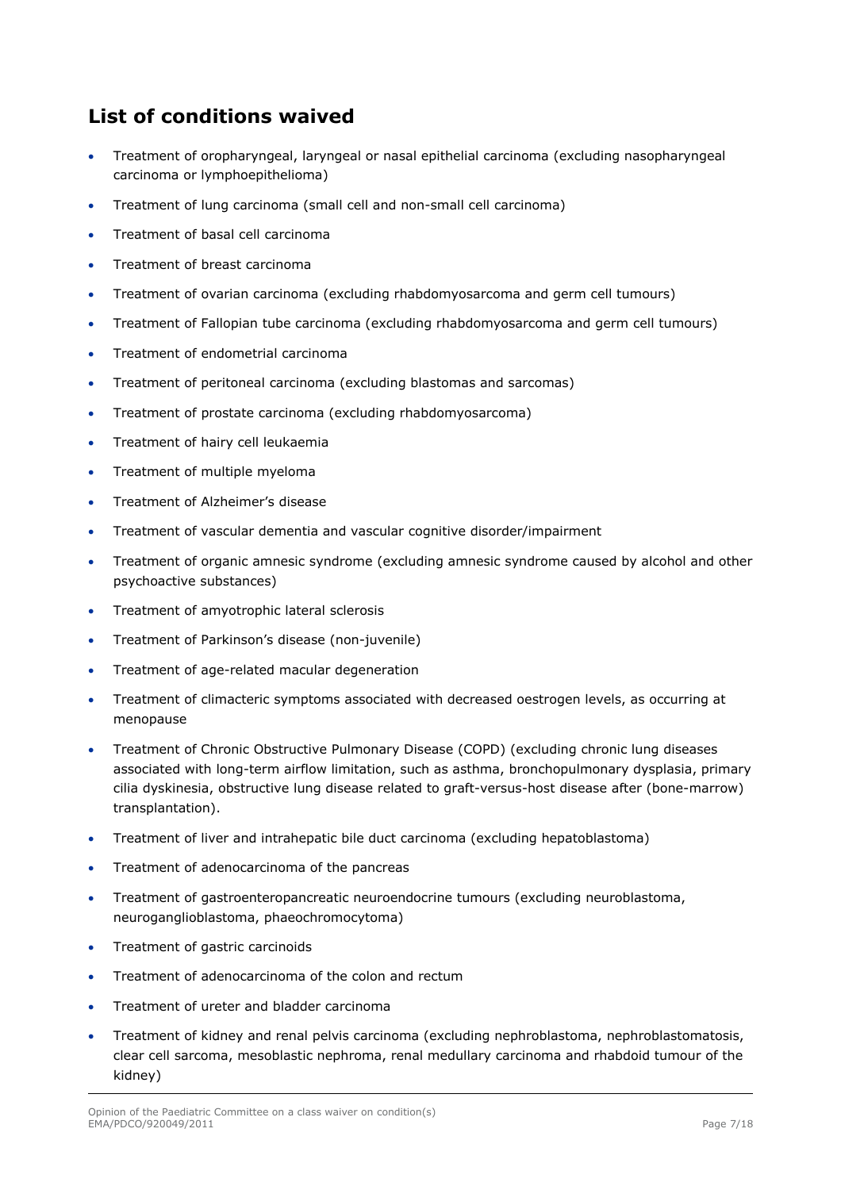## **List of conditions waived**

- Treatment of oropharyngeal, laryngeal or nasal epithelial carcinoma (excluding nasopharyngeal carcinoma or lymphoepithelioma)
- Treatment of lung carcinoma (small cell and non-small cell carcinoma)
- Treatment of basal cell carcinoma
- Treatment of breast carcinoma
- Treatment of ovarian carcinoma (excluding rhabdomyosarcoma and germ cell tumours)
- Treatment of Fallopian tube carcinoma (excluding rhabdomyosarcoma and germ cell tumours)
- Treatment of endometrial carcinoma
- Treatment of peritoneal carcinoma (excluding blastomas and sarcomas)
- Treatment of prostate carcinoma (excluding rhabdomyosarcoma)
- Treatment of hairy cell leukaemia
- Treatment of multiple myeloma
- Treatment of Alzheimer's disease
- Treatment of vascular dementia and vascular cognitive disorder/impairment
- Treatment of organic amnesic syndrome (excluding amnesic syndrome caused by alcohol and other psychoactive substances)
- Treatment of amyotrophic lateral sclerosis
- Treatment of Parkinson's disease (non-juvenile)
- Treatment of age-related macular degeneration
- Treatment of climacteric symptoms associated with decreased oestrogen levels, as occurring at menopause
- Treatment of Chronic Obstructive Pulmonary Disease (COPD) (excluding chronic lung diseases associated with long-term airflow limitation, such as asthma, bronchopulmonary dysplasia, primary cilia dyskinesia, obstructive lung disease related to graft-versus-host disease after (bone-marrow) transplantation).
- Treatment of liver and intrahepatic bile duct carcinoma (excluding hepatoblastoma)
- Treatment of adenocarcinoma of the pancreas
- Treatment of gastroenteropancreatic neuroendocrine tumours (excluding neuroblastoma, neuroganglioblastoma, phaeochromocytoma)
- Treatment of gastric carcinoids
- **•** Treatment of adenocarcinoma of the colon and rectum
- Treatment of ureter and bladder carcinoma
- Treatment of kidney and renal pelvis carcinoma (excluding nephroblastoma, nephroblastomatosis, clear cell sarcoma, mesoblastic nephroma, renal medullary carcinoma and rhabdoid tumour of the kidney)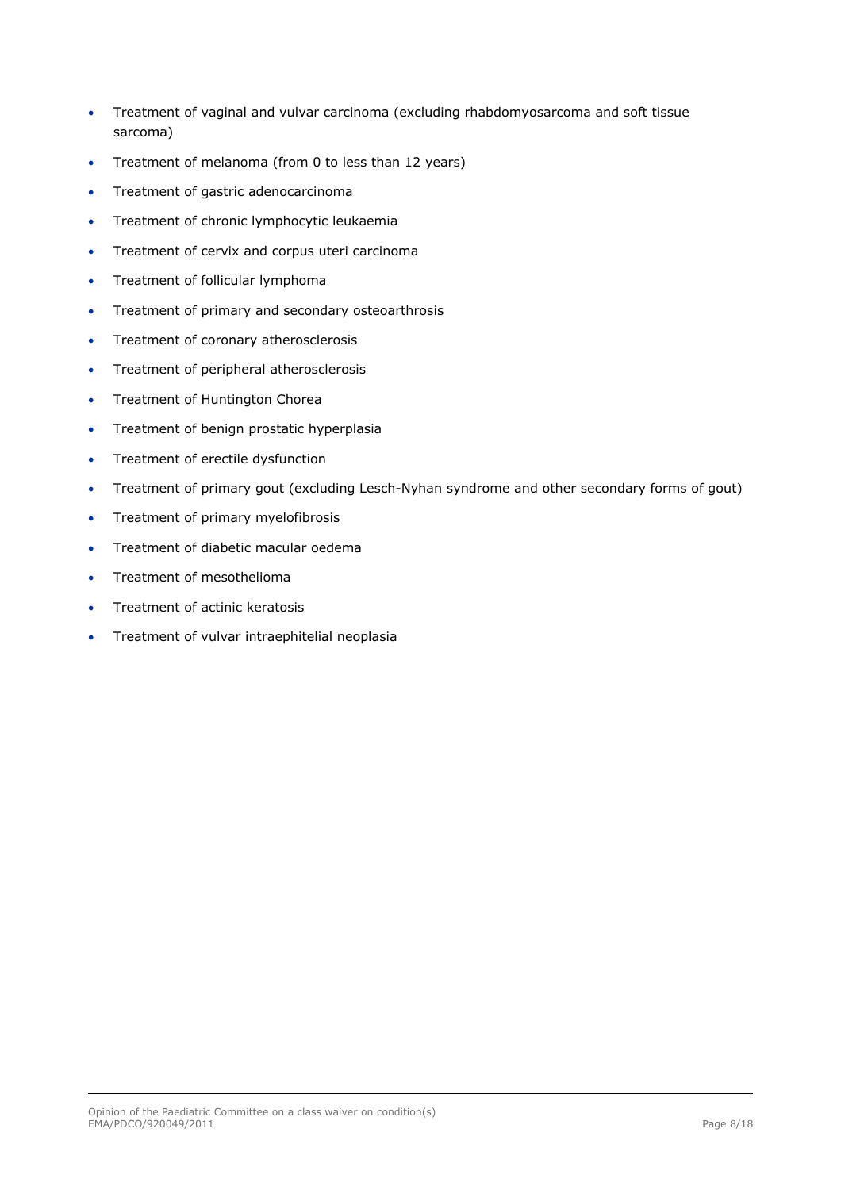- Treatment of vaginal and vulvar carcinoma (excluding rhabdomyosarcoma and soft tissue sarcoma)
- Treatment of melanoma (from 0 to less than 12 years)
- Treatment of gastric adenocarcinoma
- **•** Treatment of chronic lymphocytic leukaemia
- Treatment of cervix and corpus uteri carcinoma
- Treatment of follicular lymphoma
- Treatment of primary and secondary osteoarthrosis
- Treatment of coronary atherosclerosis
- **•** Treatment of peripheral atherosclerosis
- Treatment of Huntington Chorea
- **•** Treatment of benign prostatic hyperplasia
- Treatment of erectile dysfunction
- Treatment of primary gout (excluding Lesch-Nyhan syndrome and other secondary forms of gout)
- Treatment of primary myelofibrosis
- **•** Treatment of diabetic macular oedema
- Treatment of mesothelioma
- Treatment of actinic keratosis
- Treatment of vulvar intraephitelial neoplasia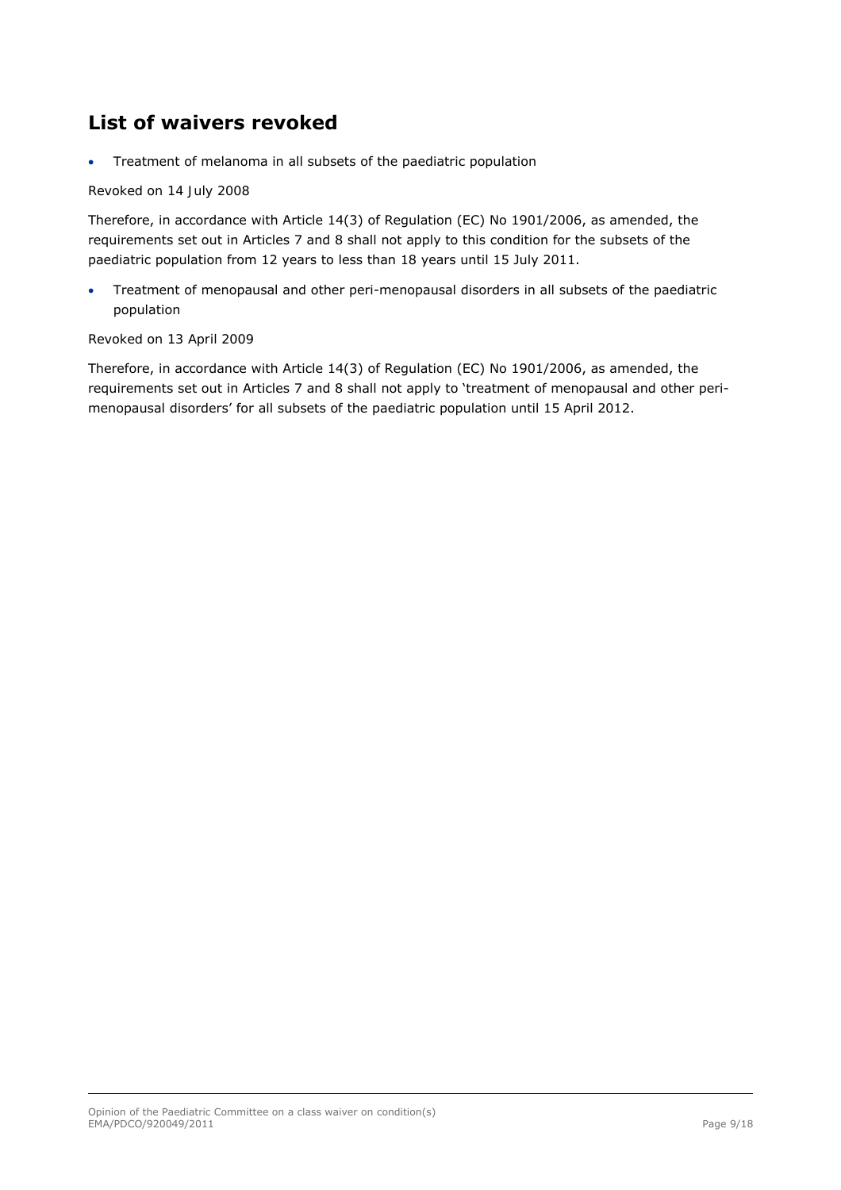## **List of waivers revoked**

Treatment of melanoma in all subsets of the paediatric population

## *Revoked on 14 July 2008*

Therefore, in accordance with Article 14(3) of Regulation (EC) No 1901/2006, as amended, the requirements set out in Articles 7 and 8 shall not apply to this condition for the subsets of the paediatric population from 12 years to less than 18 years until 15 July 2011.

 Treatment of menopausal and other peri-menopausal disorders in all subsets of the paediatric population

## *Revoked on 13 April 2009*

Therefore, in accordance with Article 14(3) of Regulation (EC) No 1901/2006, as amended, the requirements set out in Articles 7 and 8 shall not apply to 'treatment of menopausal and other perimenopausal disorders' for all subsets of the paediatric population until 15 April 2012.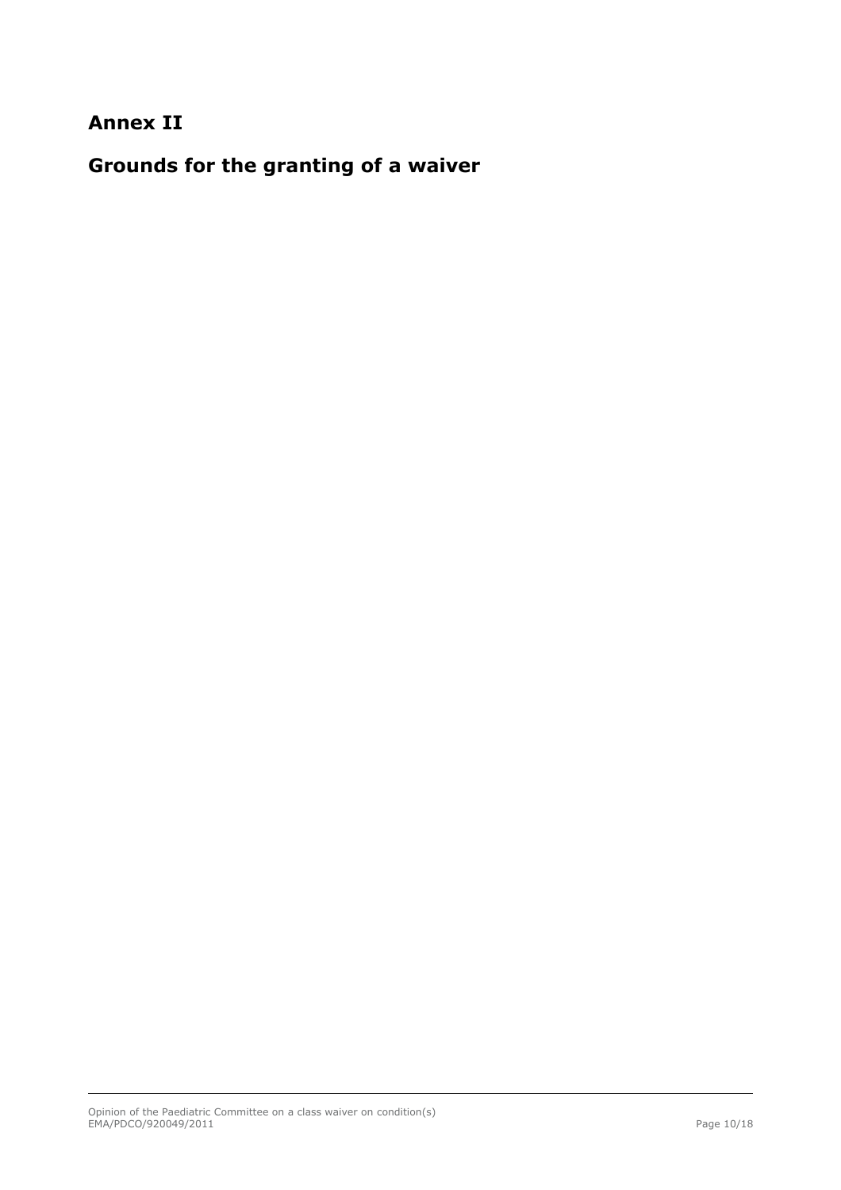## **Annex II**

**Grounds for the granting of a waiver**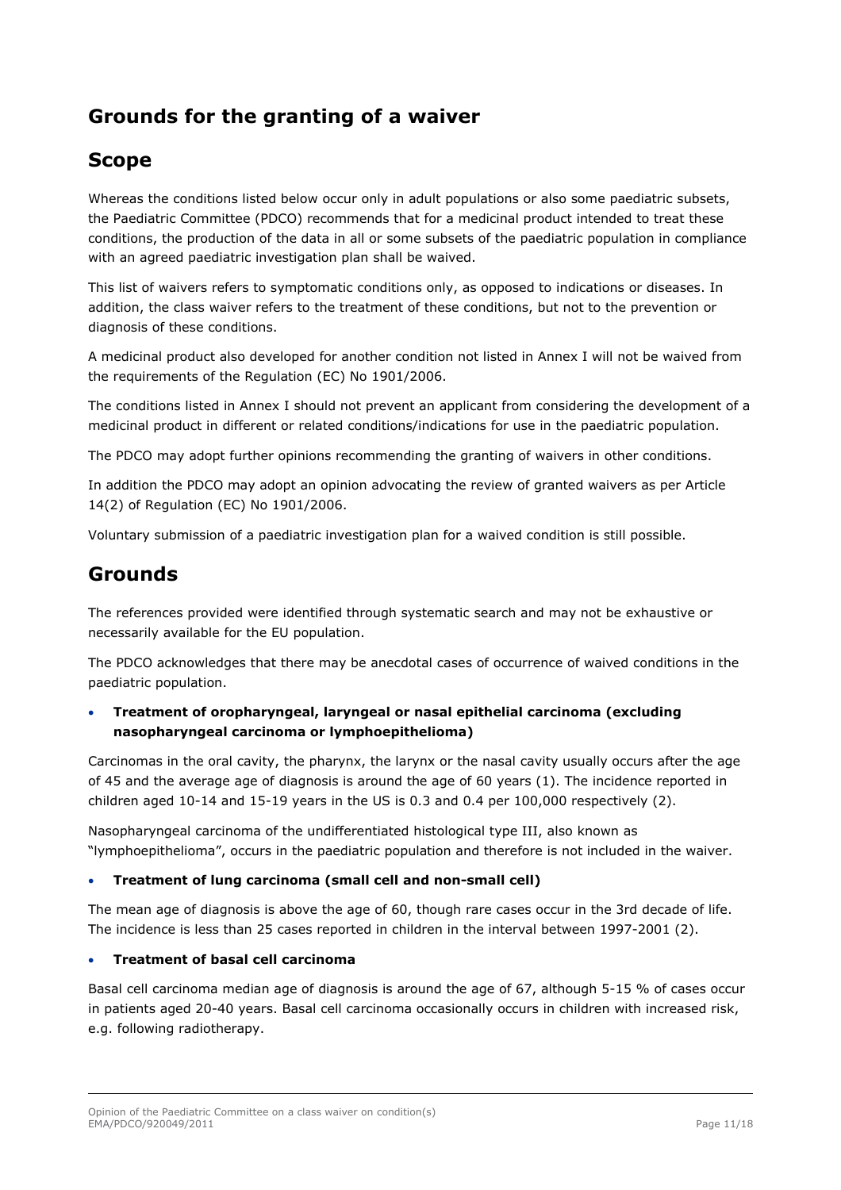## **Grounds for the granting of a waiver**

## **Scope**

Whereas the conditions listed below occur only in adult populations or also some paediatric subsets, the Paediatric Committee (PDCO) recommends that for a medicinal product intended to treat these conditions, the production of the data in all or some subsets of the paediatric population in compliance with an agreed paediatric investigation plan shall be waived.

This list of waivers refers to symptomatic conditions only, as opposed to indications or diseases. In addition, the class waiver refers to the treatment of these conditions, but not to the prevention or diagnosis of these conditions.

A medicinal product also developed for another condition not listed in Annex I will not be waived from the requirements of the Regulation (EC) No 1901/2006.

The conditions listed in Annex I should not prevent an applicant from considering the development of a medicinal product in different or related conditions/indications for use in the paediatric population.

The PDCO may adopt further opinions recommending the granting of waivers in other conditions.

In addition the PDCO may adopt an opinion advocating the review of granted waivers as per Article 14(2) of Regulation (EC) No 1901/2006.

Voluntary submission of a paediatric investigation plan for a waived condition is still possible.

## **Grounds**

The references provided were identified through systematic search and may not be exhaustive or necessarily available for the EU population.

The PDCO acknowledges that there may be anecdotal cases of occurrence of waived conditions in the paediatric population.

## **Treatment of oropharyngeal, laryngeal or nasal epithelial carcinoma (excluding nasopharyngeal carcinoma or lymphoepithelioma)**

Carcinomas in the oral cavity, the pharynx, the larynx or the nasal cavity usually occurs after the age of 45 and the average age of diagnosis is around the age of 60 years (1). The incidence reported in children aged 10-14 and 15-19 years in the US is 0.3 and 0.4 per 100,000 respectively (2).

Nasopharyngeal carcinoma of the undifferentiated histological type III, also known as "lymphoepithelioma", occurs in the paediatric population and therefore is not included in the waiver.

## **Treatment of lung carcinoma (small cell and non-small cell)**

The mean age of diagnosis is above the age of 60, though rare cases occur in the 3rd decade of life. The incidence is less than 25 cases reported in children in the interval between 1997-2001 (2).

## **Treatment of basal cell carcinoma**

Basal cell carcinoma median age of diagnosis is around the age of 67, although 5-15 % of cases occur in patients aged 20-40 years. Basal cell carcinoma occasionally occurs in children with increased risk, e.g. following radiotherapy.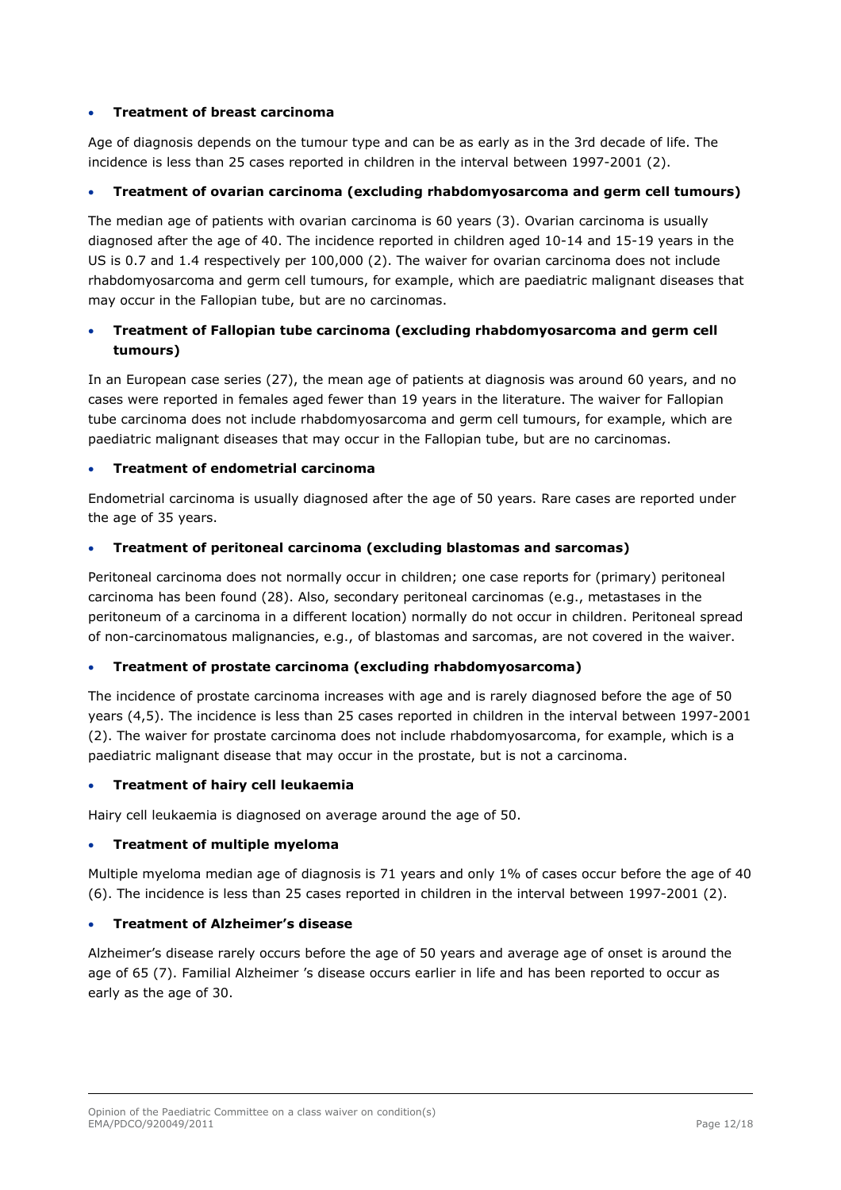## **Treatment of breast carcinoma**

Age of diagnosis depends on the tumour type and can be as early as in the 3rd decade of life. The incidence is less than 25 cases reported in children in the interval between 1997-2001 (2).

## **Treatment of ovarian carcinoma (excluding rhabdomyosarcoma and germ cell tumours)**

The median age of patients with ovarian carcinoma is 60 years (3). Ovarian carcinoma is usually diagnosed after the age of 40. The incidence reported in children aged 10-14 and 15-19 years in the US is 0.7 and 1.4 respectively per 100,000 (2). The waiver for ovarian carcinoma does not include rhabdomyosarcoma and germ cell tumours, for example, which are paediatric malignant diseases that may occur in the Fallopian tube, but are no carcinomas.

## **Treatment of Fallopian tube carcinoma (excluding rhabdomyosarcoma and germ cell tumours)**

In an European case series (27), the mean age of patients at diagnosis was around 60 years, and no cases were reported in females aged fewer than 19 years in the literature. The waiver for Fallopian tube carcinoma does not include rhabdomyosarcoma and germ cell tumours, for example, which are paediatric malignant diseases that may occur in the Fallopian tube, but are no carcinomas.

## **Treatment of endometrial carcinoma**

Endometrial carcinoma is usually diagnosed after the age of 50 years. Rare cases are reported under the age of 35 years.

## **Treatment of peritoneal carcinoma (excluding blastomas and sarcomas)**

Peritoneal carcinoma does not normally occur in children; one case reports for (primary) peritoneal carcinoma has been found (28). Also, secondary peritoneal carcinomas (e.g., metastases in the peritoneum of a carcinoma in a different location) normally do not occur in children. Peritoneal spread of non-carcinomatous malignancies, e.g., of blastomas and sarcomas, are not covered in the waiver.

## **Treatment of prostate carcinoma (excluding rhabdomyosarcoma)**

The incidence of prostate carcinoma increases with age and is rarely diagnosed before the age of 50 years (4,5). The incidence is less than 25 cases reported in children in the interval between 1997-2001 (2). The waiver for prostate carcinoma does not include rhabdomyosarcoma, for example, which is a paediatric malignant disease that may occur in the prostate, but is not a carcinoma.

## **Treatment of hairy cell leukaemia**

Hairy cell leukaemia is diagnosed on average around the age of 50.

## **Treatment of multiple myeloma**

Multiple myeloma median age of diagnosis is 71 years and only 1% of cases occur before the age of 40 (6). The incidence is less than 25 cases reported in children in the interval between 1997-2001 (2).

## **Treatment of Alzheimer's disease**

Alzheimer's disease rarely occurs before the age of 50 years and average age of onset is around the age of 65 (7). Familial Alzheimer 's disease occurs earlier in life and has been reported to occur as early as the age of 30.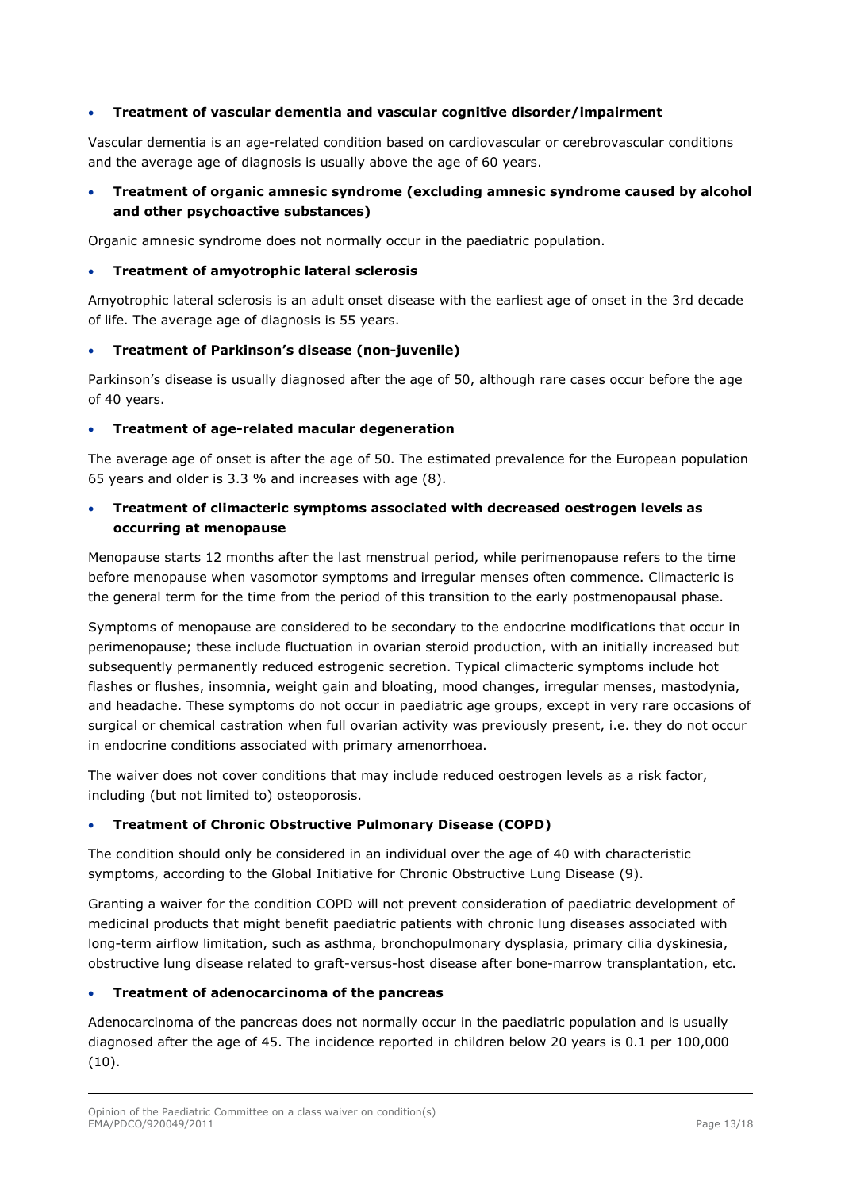## **Treatment of vascular dementia and vascular cognitive disorder/impairment**

Vascular dementia is an age-related condition based on cardiovascular or cerebrovascular conditions and the average age of diagnosis is usually above the age of 60 years.

## **Treatment of organic amnesic syndrome (excluding amnesic syndrome caused by alcohol and other psychoactive substances)**

Organic amnesic syndrome does not normally occur in the paediatric population.

#### **Treatment of amyotrophic lateral sclerosis**

Amyotrophic lateral sclerosis is an adult onset disease with the earliest age of onset in the 3rd decade of life. The average age of diagnosis is 55 years.

#### **Treatment of Parkinson's disease (non-juvenile)**

Parkinson's disease is usually diagnosed after the age of 50, although rare cases occur before the age of 40 years.

#### **Treatment of age-related macular degeneration**

The average age of onset is after the age of 50. The estimated prevalence for the European population 65 years and older is 3.3 % and increases with age (8).

## **Treatment of climacteric symptoms associated with decreased oestrogen levels as occurring at menopause**

Menopause starts 12 months after the last menstrual period, while perimenopause refers to the time before menopause when vasomotor symptoms and irregular menses often commence. Climacteric is the general term for the time from the period of this transition to the early postmenopausal phase.

Symptoms of menopause are considered to be secondary to the endocrine modifications that occur in perimenopause; these include fluctuation in ovarian steroid production, with an initially increased but subsequently permanently reduced estrogenic secretion. Typical climacteric symptoms include hot flashes or flushes, insomnia, weight gain and bloating, mood changes, irregular menses, mastodynia, and headache. These symptoms do not occur in paediatric age groups, except in very rare occasions of surgical or chemical castration when full ovarian activity was previously present, i.e. they do not occur in endocrine conditions associated with primary amenorrhoea.

The waiver does not cover conditions that may include reduced oestrogen levels as a risk factor, including (but not limited to) osteoporosis.

## **Treatment of Chronic Obstructive Pulmonary Disease (COPD)**

The condition should only be considered in an individual over the age of 40 with characteristic symptoms, according to the Global Initiative for Chronic Obstructive Lung Disease (9).

Granting a waiver for the condition COPD will not prevent consideration of paediatric development of medicinal products that might benefit paediatric patients with chronic lung diseases associated with long-term airflow limitation, such as asthma, bronchopulmonary dysplasia, primary cilia dyskinesia, obstructive lung disease related to graft-versus-host disease after bone-marrow transplantation, etc.

#### **Treatment of adenocarcinoma of the pancreas**

Adenocarcinoma of the pancreas does not normally occur in the paediatric population and is usually diagnosed after the age of 45. The incidence reported in children below 20 years is 0.1 per 100,000 (10).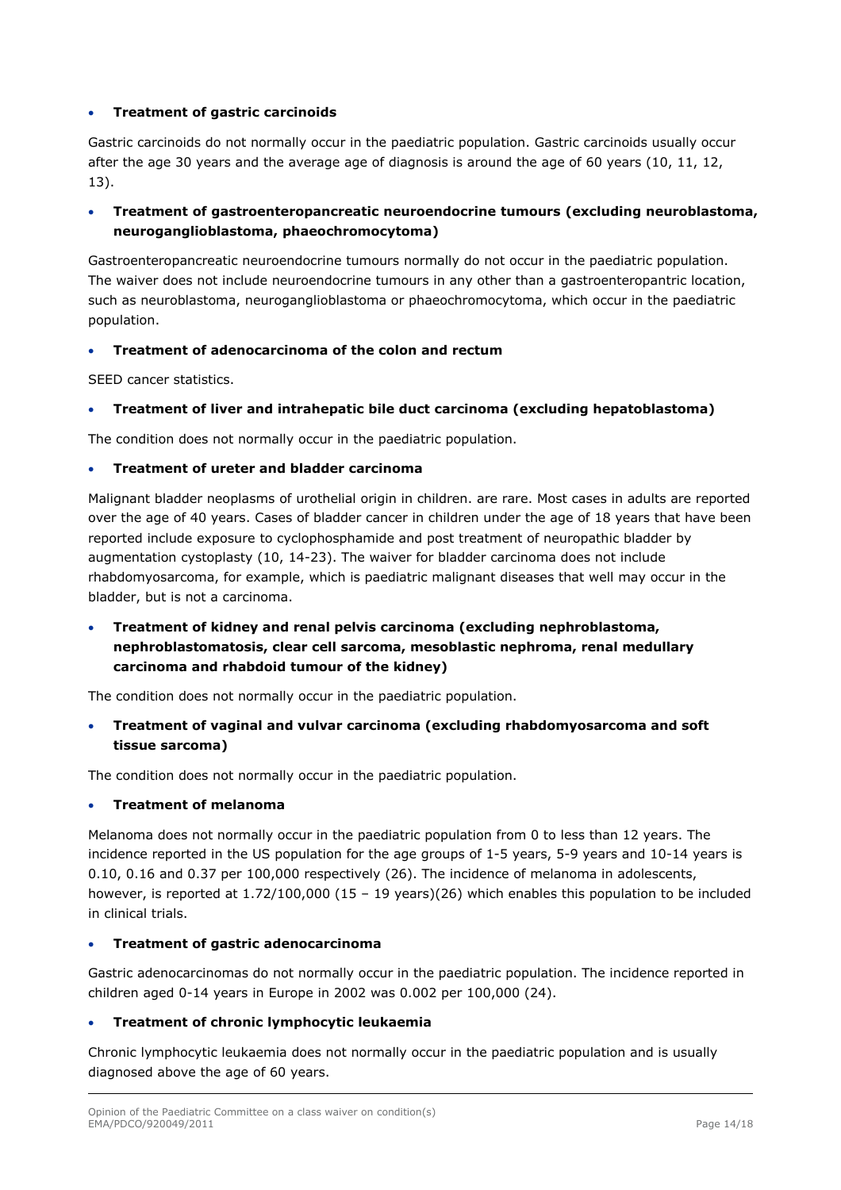## **Treatment of gastric carcinoids**

Gastric carcinoids do not normally occur in the paediatric population. Gastric carcinoids usually occur after the age 30 years and the average age of diagnosis is around the age of 60 years (10, 11, 12, 13).

## **Treatment of gastroenteropancreatic neuroendocrine tumours (excluding neuroblastoma, neuroganglioblastoma, phaeochromocytoma)**

Gastroenteropancreatic neuroendocrine tumours normally do not occur in the paediatric population. The waiver does not include neuroendocrine tumours in any other than a gastroenteropantric location, such as neuroblastoma, neuroganglioblastoma or phaeochromocytoma, which occur in the paediatric population.

#### **Treatment of adenocarcinoma of the colon and rectum**

SEED cancer statistics.

## **Treatment of liver and intrahepatic bile duct carcinoma (excluding hepatoblastoma)**

The condition does not normally occur in the paediatric population.

#### **Treatment of ureter and bladder carcinoma**

Malignant bladder neoplasms of urothelial origin in children. are rare. Most cases in adults are reported over the age of 40 years. Cases of bladder cancer in children under the age of 18 years that have been reported include exposure to cyclophosphamide and post treatment of neuropathic bladder by augmentation cystoplasty (10, 14-23). The waiver for bladder carcinoma does not include rhabdomyosarcoma, for example, which is paediatric malignant diseases that well may occur in the bladder, but is not a carcinoma.

 **Treatment of kidney and renal pelvis carcinoma (excluding nephroblastoma, nephroblastomatosis, clear cell sarcoma, mesoblastic nephroma, renal medullary carcinoma and rhabdoid tumour of the kidney)** 

The condition does not normally occur in the paediatric population.

 **Treatment of vaginal and vulvar carcinoma (excluding rhabdomyosarcoma and soft tissue sarcoma)** 

The condition does not normally occur in the paediatric population.

#### **Treatment of melanoma**

Melanoma does not normally occur in the paediatric population from 0 to less than 12 years. The incidence reported in the US population for the age groups of 1-5 years, 5-9 years and 10-14 years is 0.10, 0.16 and 0.37 per 100,000 respectively (26). The incidence of melanoma in adolescents, however, is reported at 1.72/100,000 (15 - 19 years)(26) which enables this population to be included in clinical trials.

#### **Treatment of gastric adenocarcinoma**

Gastric adenocarcinomas do not normally occur in the paediatric population. The incidence reported in children aged 0-14 years in Europe in 2002 was 0.002 per 100,000 (24).

## **Treatment of chronic lymphocytic leukaemia**

Chronic lymphocytic leukaemia does not normally occur in the paediatric population and is usually diagnosed above the age of 60 years.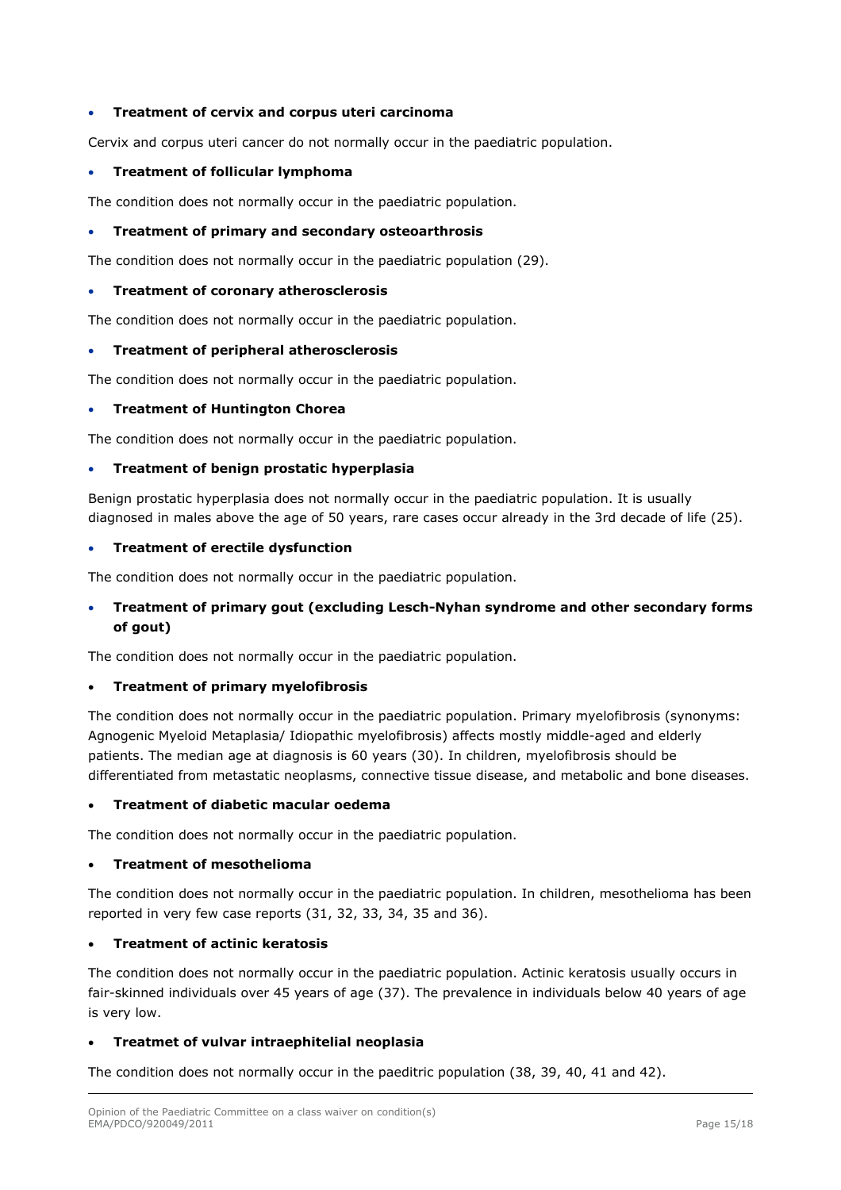#### **Treatment of cervix and corpus uteri carcinoma**

Cervix and corpus uteri cancer do not normally occur in the paediatric population.

#### **Treatment of follicular lymphoma**

The condition does not normally occur in the paediatric population.

#### **Treatment of primary and secondary osteoarthrosis**

The condition does not normally occur in the paediatric population (29).

#### **Treatment of coronary atherosclerosis**

The condition does not normally occur in the paediatric population.

#### **Treatment of peripheral atherosclerosis**

The condition does not normally occur in the paediatric population.

#### **Treatment of Huntington Chorea**

The condition does not normally occur in the paediatric population.

#### **Treatment of benign prostatic hyperplasia**

Benign prostatic hyperplasia does not normally occur in the paediatric population. It is usually diagnosed in males above the age of 50 years, rare cases occur already in the 3rd decade of life (25).

#### **Treatment of erectile dysfunction**

The condition does not normally occur in the paediatric population.

## **Treatment of primary gout (excluding Lesch-Nyhan syndrome and other secondary forms of gout)**

The condition does not normally occur in the paediatric population.

#### **Treatment of primary myelofibrosis**

The condition does not normally occur in the paediatric population. Primary myelofibrosis (synonyms: Agnogenic Myeloid Metaplasia/ Idiopathic myelofibrosis) affects mostly middle-aged and elderly patients. The median age at diagnosis is 60 years (30). In children, myelofibrosis should be differentiated from metastatic neoplasms, connective tissue disease, and metabolic and bone diseases.

## **Treatment of diabetic macular oedema**

The condition does not normally occur in the paediatric population.

#### **Treatment of mesothelioma**

The condition does not normally occur in the paediatric population. In children, mesothelioma has been reported in very few case reports (31, 32, 33, 34, 35 and 36).

#### **Treatment of actinic keratosis**

The condition does not normally occur in the paediatric population. Actinic keratosis usually occurs in fair-skinned individuals over 45 years of age (37). The prevalence in individuals below 40 years of age is very low.

## **Treatmet of vulvar intraephitelial neoplasia**

The condition does not normally occur in the paeditric population (38, 39, 40, 41 and 42).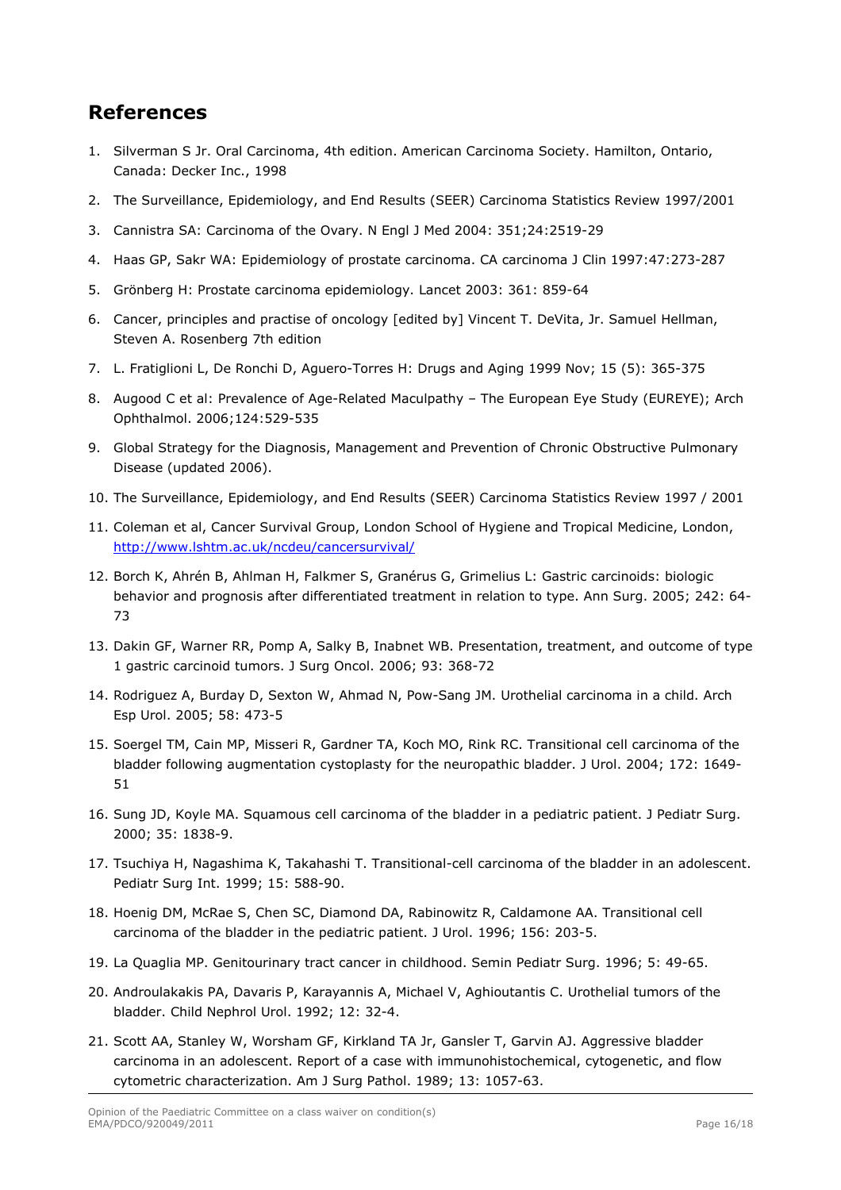## **References**

- 1. Silverman S Jr. Oral Carcinoma, 4th edition. American Carcinoma Society. Hamilton, Ontario, Canada: Decker Inc., 1998
- 2. The Surveillance, Epidemiology, and End Results (SEER) Carcinoma Statistics Review 1997/2001
- 3. Cannistra SA: Carcinoma of the Ovary. N Engl J Med 2004: 351;24:2519-29
- 4. Haas GP, Sakr WA: Epidemiology of prostate carcinoma. CA carcinoma J Clin 1997:47:273-287
- 5. Grönberg H: Prostate carcinoma epidemiology. Lancet 2003: 361: 859-64
- 6. Cancer, principles and practise of oncology [edited by] Vincent T. DeVita, Jr. Samuel Hellman, Steven A. Rosenberg 7th edition
- 7. L. Fratiglioni L, De Ronchi D, Aguero-Torres H: Drugs and Aging 1999 Nov; 15 (5): 365-375
- 8. Augood C et al: Prevalence of Age-Related Maculpathy The European Eye Study (EUREYE); Arch Ophthalmol. 2006;124:529-535
- 9. Global Strategy for the Diagnosis, Management and Prevention of Chronic Obstructive Pulmonary Disease (updated 2006).
- 10. The Surveillance, Epidemiology, and End Results (SEER) Carcinoma Statistics Review 1997 / 2001
- 11. Coleman et al, Cancer Survival Group, London School of Hygiene and Tropical Medicine, London, <http://www.lshtm.ac.uk/ncdeu/cancersurvival/>
- 12. Borch K, Ahrén B, Ahlman H, Falkmer S, Granérus G, Grimelius L: Gastric carcinoids: biologic behavior and prognosis after differentiated treatment in relation to type. Ann Surg. 2005; 242: 64- 73
- 13. Dakin GF, Warner RR, Pomp A, Salky B, Inabnet WB. Presentation, treatment, and outcome of type 1 gastric carcinoid tumors. J Surg Oncol. 2006; 93: 368-72
- 14. Rodriguez A, Burday D, Sexton W, Ahmad N, Pow-Sang JM. Urothelial carcinoma in a child. Arch Esp Urol. 2005; 58: 473-5
- 15. Soergel TM, Cain MP, Misseri R, Gardner TA, Koch MO, Rink RC. Transitional cell carcinoma of the bladder following augmentation cystoplasty for the neuropathic bladder. J Urol. 2004; 172: 1649- 51
- 16. Sung JD, Koyle MA. Squamous cell carcinoma of the bladder in a pediatric patient. J Pediatr Surg. 2000; 35: 1838-9.
- 17. Tsuchiya H, Nagashima K, Takahashi T. Transitional-cell carcinoma of the bladder in an adolescent. Pediatr Surg Int. 1999; 15: 588-90.
- 18. Hoenig DM, McRae S, Chen SC, Diamond DA, Rabinowitz R, Caldamone AA. Transitional cell carcinoma of the bladder in the pediatric patient. J Urol. 1996; 156: 203-5.
- 19. La Quaglia MP. Genitourinary tract cancer in childhood. Semin Pediatr Surg. 1996; 5: 49-65.
- 20. Androulakakis PA, Davaris P, Karayannis A, Michael V, Aghioutantis C. Urothelial tumors of the bladder. Child Nephrol Urol. 1992; 12: 32-4.
- 21. Scott AA, Stanley W, Worsham GF, Kirkland TA Jr, Gansler T, Garvin AJ. Aggressive bladder carcinoma in an adolescent. Report of a case with immunohistochemical, cytogenetic, and flow cytometric characterization. Am J Surg Pathol. 1989; 13: 1057-63.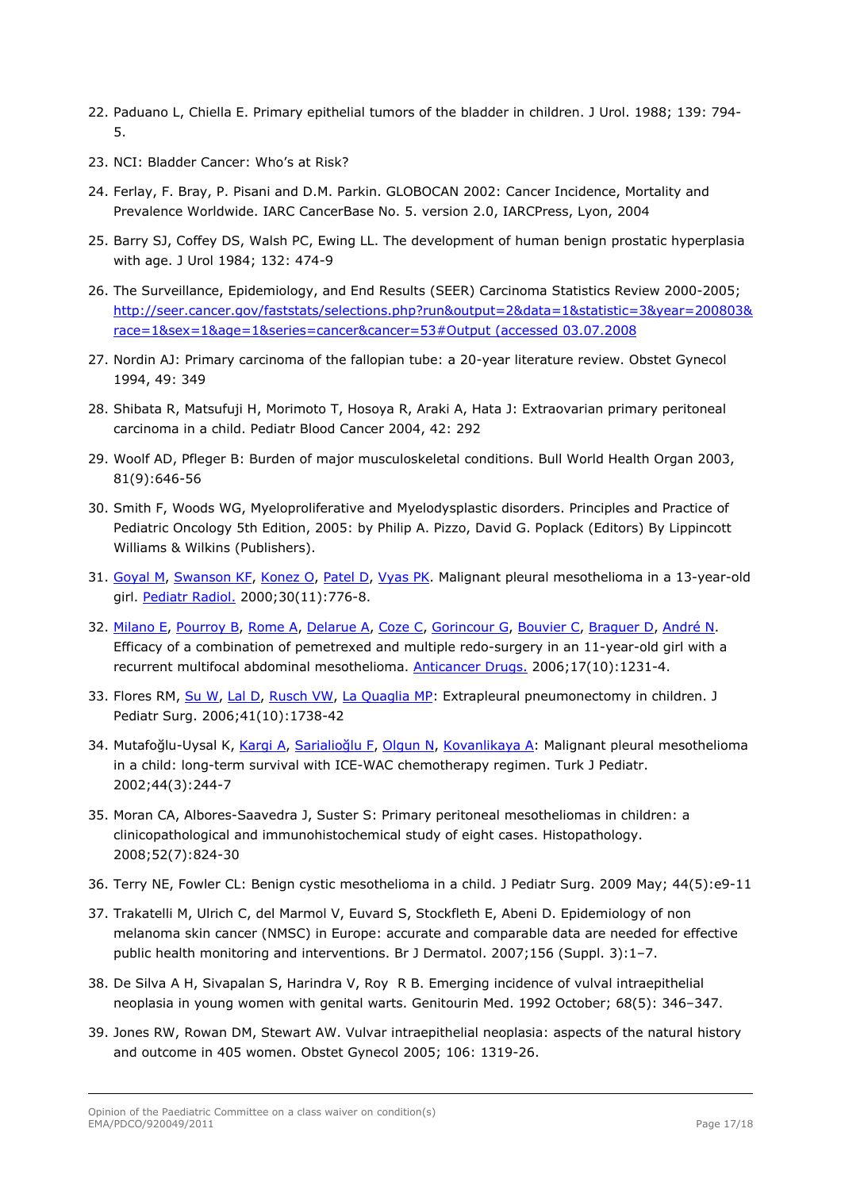- 22. Paduano L, Chiella E. Primary epithelial tumors of the bladder in children. J Urol. 1988; 139: 794- 5.
- 23. NCI: Bladder Cancer: Who's at Risk?
- 24. Ferlay, F. Bray, P. Pisani and D.M. Parkin. GLOBOCAN 2002: Cancer Incidence, Mortality and Prevalence Worldwide. IARC CancerBase No. 5. version 2.0, IARCPress, Lyon, 2004
- 25. Barry SJ, Coffey DS, Walsh PC, Ewing LL. The development of human benign prostatic hyperplasia with age. J Urol 1984; 132: 474-9
- 26. The Surveillance, Epidemiology, and End Results (SEER) Carcinoma Statistics Review 2000-2005; [http://seer.cancer.gov/faststats/selections.php?run&output=2&data=1&statistic=3&year=200803&](http://seer.cancer.gov/faststats/selections.php?run&output=2&data=1&statistic=3&year=200803&race=1&sex=1&age=1&series=cancer&cancer=53%23Output%20(accessed%2003.07.2008) [race=1&sex=1&age=1&series=cancer&cancer=53#Output \(accessed 03.07.2008](http://seer.cancer.gov/faststats/selections.php?run&output=2&data=1&statistic=3&year=200803&race=1&sex=1&age=1&series=cancer&cancer=53%23Output%20(accessed%2003.07.2008)
- 27. Nordin AJ: Primary carcinoma of the fallopian tube: a 20-year literature review. Obstet Gynecol 1994, 49: 349
- 28. Shibata R, Matsufuji H, Morimoto T, Hosoya R, Araki A, Hata J: Extraovarian primary peritoneal carcinoma in a child. Pediatr Blood Cancer 2004, 42: 292
- 29. Woolf AD, Pfleger B: Burden of major musculoskeletal conditions. Bull World Health Organ 2003, 81(9):646-56
- 30. Smith F, Woods WG, Myeloproliferative and Myelodysplastic disorders. Principles and Practice of Pediatric Oncology 5th Edition, 2005: by Philip A. Pizzo, David G. Poplack (Editors) By Lippincott Williams & Wilkins (Publishers).
- 31. [Goyal M,](http://www.ncbi.nlm.nih.gov/pubmed?term=%22Goyal%20M%22%5BAuthor%5D) [Swanson KF](http://www.ncbi.nlm.nih.gov/pubmed?term=%22Swanson%20KF%22%5BAuthor%5D), [Konez O](http://www.ncbi.nlm.nih.gov/pubmed?term=%22Konez%20O%22%5BAuthor%5D), [Patel D](http://www.ncbi.nlm.nih.gov/pubmed?term=%22Patel%20D%22%5BAuthor%5D), [Vyas PK.](http://www.ncbi.nlm.nih.gov/pubmed?term=%22Vyas%20PK%22%5BAuthor%5D) Malignant pleural mesothelioma in a 13-year-old girl. [Pediatr Radiol.](javascript:AL_get(this,%20) 2000;30(11):776-8.
- 32. [Milano E](http://www.ncbi.nlm.nih.gov/pubmed?term=%22Milano%20E%22%5BAuthor%5D), [Pourroy B](http://www.ncbi.nlm.nih.gov/pubmed?term=%22Pourroy%20B%22%5BAuthor%5D), [Rome A,](http://www.ncbi.nlm.nih.gov/pubmed?term=%22Rome%20A%22%5BAuthor%5D) [Delarue A,](http://www.ncbi.nlm.nih.gov/pubmed?term=%22Delarue%20A%22%5BAuthor%5D) [Coze C](http://www.ncbi.nlm.nih.gov/pubmed?term=%22Coze%20C%22%5BAuthor%5D), [Gorincour G,](http://www.ncbi.nlm.nih.gov/pubmed?term=%22Gorincour%20G%22%5BAuthor%5D) [Bouvier C](http://www.ncbi.nlm.nih.gov/pubmed?term=%22Bouvier%20C%22%5BAuthor%5D), [Braguer D,](http://www.ncbi.nlm.nih.gov/pubmed?term=%22Braguer%20D%22%5BAuthor%5D) [André N.](http://www.ncbi.nlm.nih.gov/pubmed?term=%22Andr%C3%A9%20N%22%5BAuthor%5D) Efficacy of a combination of pemetrexed and multiple redo-surgery in an 11-year-old girl with a recurrent multifocal abdominal mesothelioma. [Anticancer Drugs.](javascript:AL_get(this,%20) 2006;17(10):1231-4.
- 33. Flores RM, [Su W,](http://www.ncbi.nlm.nih.gov/pubmed?term=%22Su%20W%22%5BAuthor%5D) [Lal D](http://www.ncbi.nlm.nih.gov/pubmed?term=%22Lal%20D%22%5BAuthor%5D), [Rusch VW,](http://www.ncbi.nlm.nih.gov/pubmed?term=%22Rusch%20VW%22%5BAuthor%5D) [La Quaglia MP](http://www.ncbi.nlm.nih.gov/pubmed?term=%22La%20Quaglia%20MP%22%5BAuthor%5D): Extrapleural pneumonectomy in children. J Pediatr Surg. 2006;41(10):1738-42
- 34. Mutafoğlu-Uysal K, [Kargi A](http://www.ncbi.nlm.nih.gov/pubmed?term=%22Kargi%20A%22%5BAuthor%5D), [Sarialio](http://www.ncbi.nlm.nih.gov/pubmed?term=%22Sarialio%C4%9Flu%20F%22%5BAuthor%5D)ğlu F, [Olgun N](http://www.ncbi.nlm.nih.gov/pubmed?term=%22Olgun%20N%22%5BAuthor%5D), [Kovanlikaya A:](http://www.ncbi.nlm.nih.gov/pubmed?term=%22Kovanlikaya%20A%22%5BAuthor%5D) Malignant pleural mesothelioma in a child: long-term survival with ICE-WAC chemotherapy regimen. Turk J Pediatr. 2002;44(3):244-7
- 35. Moran CA, Albores-Saavedra J, Suster S: Primary peritoneal mesotheliomas in children: a clinicopathological and immunohistochemical study of eight cases. Histopathology. 2008;52(7):824-30
- 36. Terry NE, Fowler CL: Benign cystic mesothelioma in a child. J Pediatr Surg. 2009 May; 44(5):e9-11
- 37. Trakatelli M, Ulrich C, del Marmol V, Euvard S, Stockfleth E, Abeni D. Epidemiology of non melanoma skin cancer (NMSC) in Europe: accurate and comparable data are needed for effective public health monitoring and interventions. Br J Dermatol. 2007;156 (Suppl. 3):1–7.
- 38. De Silva A H, Sivapalan S, Harindra V, Roy R B. Emerging incidence of vulval intraepithelial neoplasia in young women with genital warts. Genitourin Med. 1992 October; 68(5): 346–347.
- 39. Jones RW, Rowan DM, Stewart AW. Vulvar intraepithelial neoplasia: aspects of the natural history and outcome in 405 women. Obstet Gynecol 2005; 106: 1319-26.